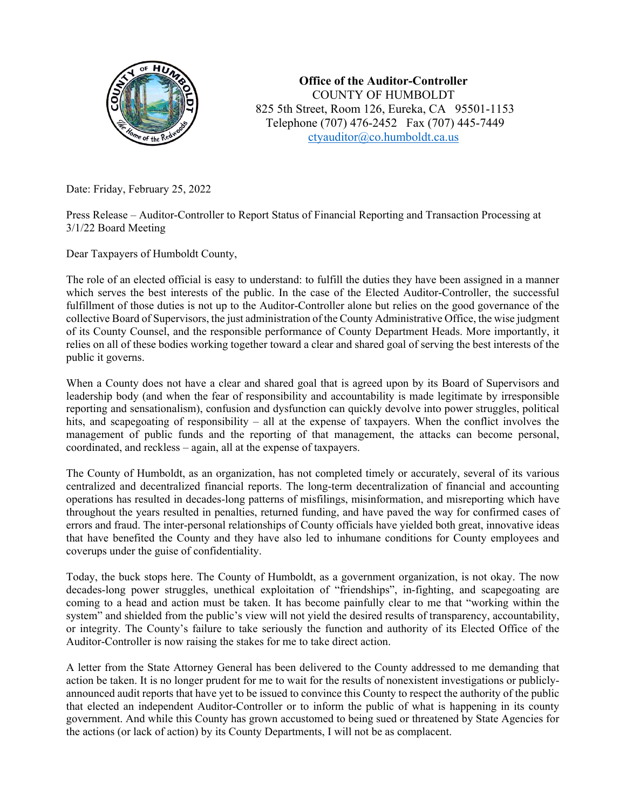

**Office of the Auditor-Controller**  COUNTY OF HUMBOLDT 825 5th Street, Room 126, Eureka, CA 95501-1153 Telephone (707) 476-2452 Fax (707) 445-7449 ctyauditor@co.humboldt.ca.us

Date: Friday, February 25, 2022

Press Release – Auditor-Controller to Report Status of Financial Reporting and Transaction Processing at 3/1/22 Board Meeting

Dear Taxpayers of Humboldt County,

The role of an elected official is easy to understand: to fulfill the duties they have been assigned in a manner which serves the best interests of the public. In the case of the Elected Auditor-Controller, the successful fulfillment of those duties is not up to the Auditor-Controller alone but relies on the good governance of the collective Board of Supervisors, the just administration of the County Administrative Office, the wise judgment of its County Counsel, and the responsible performance of County Department Heads. More importantly, it relies on all of these bodies working together toward a clear and shared goal of serving the best interests of the public it governs.

When a County does not have a clear and shared goal that is agreed upon by its Board of Supervisors and leadership body (and when the fear of responsibility and accountability is made legitimate by irresponsible reporting and sensationalism), confusion and dysfunction can quickly devolve into power struggles, political hits, and scapegoating of responsibility – all at the expense of taxpayers. When the conflict involves the management of public funds and the reporting of that management, the attacks can become personal, coordinated, and reckless – again, all at the expense of taxpayers.

The County of Humboldt, as an organization, has not completed timely or accurately, several of its various centralized and decentralized financial reports. The long-term decentralization of financial and accounting operations has resulted in decades-long patterns of misfilings, misinformation, and misreporting which have throughout the years resulted in penalties, returned funding, and have paved the way for confirmed cases of errors and fraud. The inter-personal relationships of County officials have yielded both great, innovative ideas that have benefited the County and they have also led to inhumane conditions for County employees and coverups under the guise of confidentiality.

Today, the buck stops here. The County of Humboldt, as a government organization, is not okay. The now decades-long power struggles, unethical exploitation of "friendships", in-fighting, and scapegoating are coming to a head and action must be taken. It has become painfully clear to me that "working within the system" and shielded from the public's view will not yield the desired results of transparency, accountability, or integrity. The County's failure to take seriously the function and authority of its Elected Office of the Auditor-Controller is now raising the stakes for me to take direct action.

A letter from the State Attorney General has been delivered to the County addressed to me demanding that action be taken. It is no longer prudent for me to wait for the results of nonexistent investigations or publiclyannounced audit reports that have yet to be issued to convince this County to respect the authority of the public that elected an independent Auditor-Controller or to inform the public of what is happening in its county government. And while this County has grown accustomed to being sued or threatened by State Agencies for the actions (or lack of action) by its County Departments, I will not be as complacent.